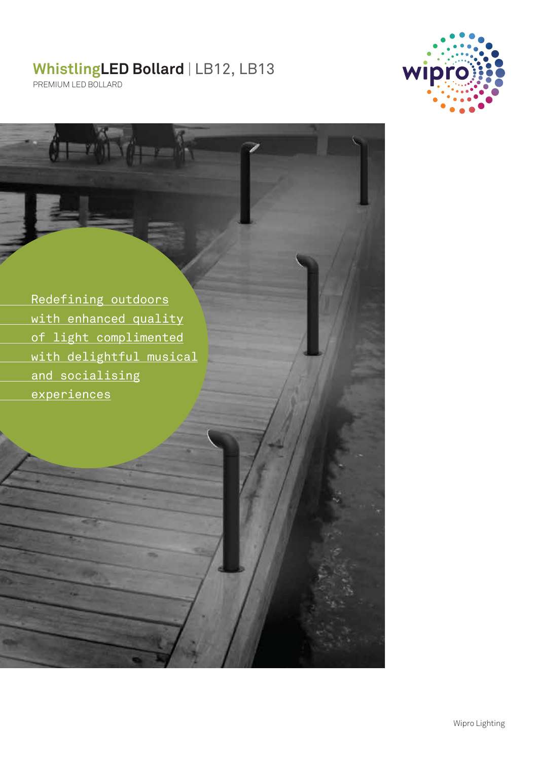# **WhistlingLED Bollard** | LB12, LB13



PREMIUM LED BOLLARD

 Redefining outdoors with enhanced quality of light complimented with delightful musical and socialising experiences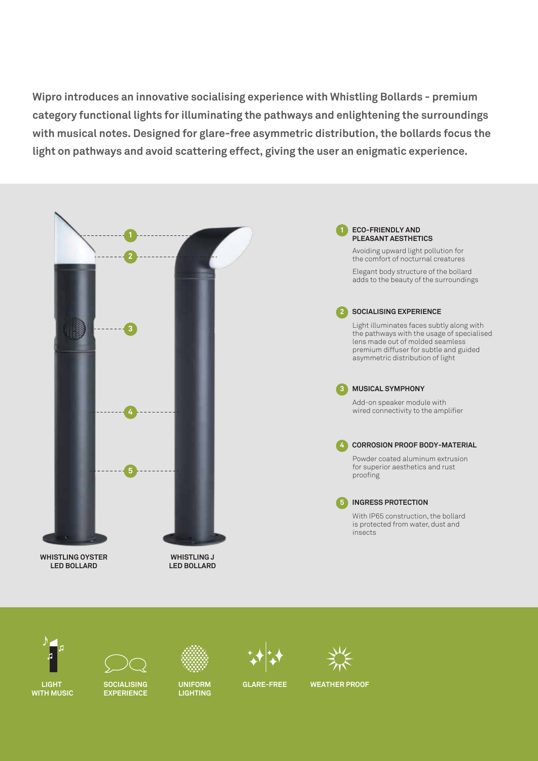**Wipro introduces an innovative socialising experience with Whistling Bollards - premium category functional lights for illuminating the pathways and enlightening the surroundings with musical notes. Designed for glare-free asymmetric distribution, the bollards focus the light on pathways and avoid scattering effect, giving the user an enigmatic experience.**





**LIGHT WITH MUSIC**



**SOCIALISING EXPERIENCE**

**LIGHTING**



## **GLARE-FREE**



## **UNIFORM GLARE-FREE WEATHER PROOF**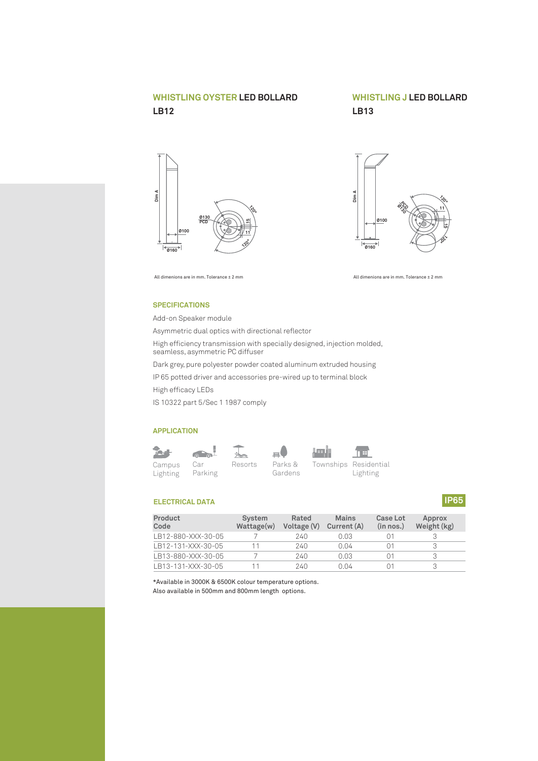# **WHISTLING OYSTER LED BOLLARD LB12**

# **WHISTLING J LED BOLLARD LB13**





All dimenions are in mm. Tolerance ± 2 mm All dimenions are in mm. Tolerance ± 2 mm

#### **SPECIFICATIONS**

Add-on Speaker module Asymmetric dual optics with directional reflector High efficiency transmission with specially designed, injection molded, seamless, asymmetric PC diffuser Dark grey, pure polyester powder coated aluminum extruded housing IP 65 potted driver and accessories pre-wired up to terminal block High efficacy LEDs IS 10322 part 5/Sec 1 1987 comply

#### **APPLICATION**







Car Resorts Parks & Townships Residential Lighting

## **ELECTRICAL DATA**

| Product<br>Code    | System<br>Wattage(w) | Rated<br>Voltage (V) | <b>Mains</b><br>Current (A) | Case Lot<br>(in nos.) | Approx<br>Weight (kg) |
|--------------------|----------------------|----------------------|-----------------------------|-----------------------|-----------------------|
| LB12-880-XXX-30-05 |                      | 240                  | 0.03                        |                       |                       |
| LB12-131-XXX-30-05 |                      | 240                  | 0.04                        |                       | 3                     |
| LB13-880-XXX-30-05 |                      | 240                  | 0.03                        |                       | З                     |
| LB13-131-XXX-30-05 |                      | 240                  | 0 Q4                        |                       | 3                     |

\*Available in 3000K & 6500K colour temperature options. Also available in 500mm and 800mm length options.